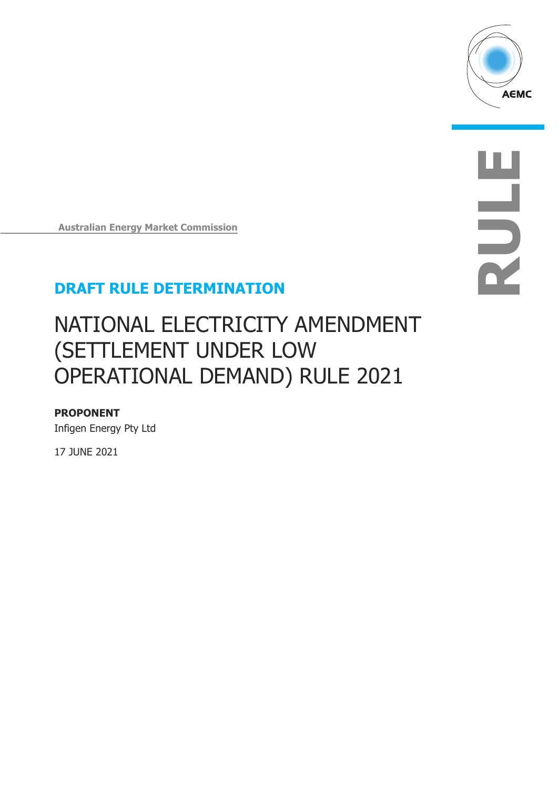

**RULE**

**Australian Energy Market Commission**

## **DRAFT RULE DETERMINATION**

# NATIONAL ELECTRICITY AMENDMENT (SETTLEMENT UNDER LOW OPERATIONAL DEMAND) RULE 2021

#### **PROPONENT**

Infigen Energy Pty Ltd

17 JUNE 2021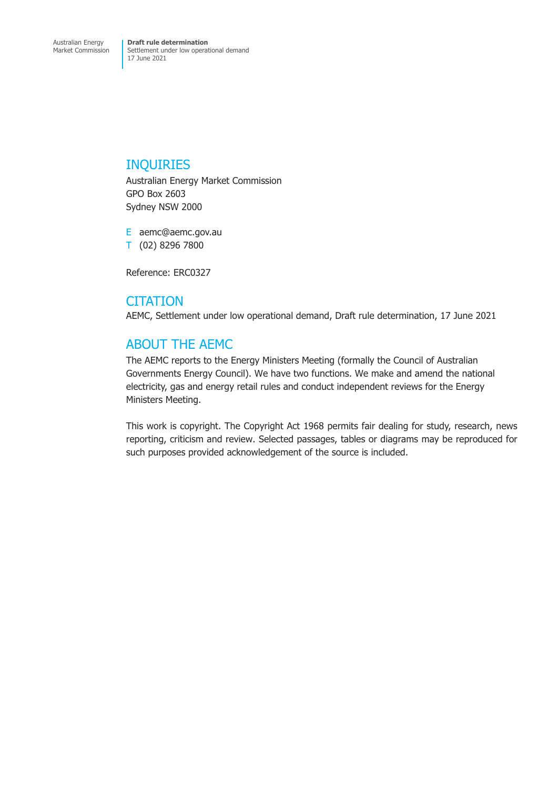### INQUIRIES

Australian Energy Market Commission GPO Box 2603 Sydney NSW 2000

E aemc@aemc.gov.au T (02) 8296 7800

Reference: ERC0327

### **CITATION**

AEMC, Settlement under low operational demand, Draft rule determination, 17 June 2021

### ABOUT THE AEMC

The AEMC reports to the Energy Ministers Meeting (formally the Council of Australian Governments Energy Council). We have two functions. We make and amend the national electricity, gas and energy retail rules and conduct independent reviews for the Energy Ministers Meeting.

This work is copyright. The Copyright Act 1968 permits fair dealing for study, research, news reporting, criticism and review. Selected passages, tables or diagrams may be reproduced for such purposes provided acknowledgement of the source is included.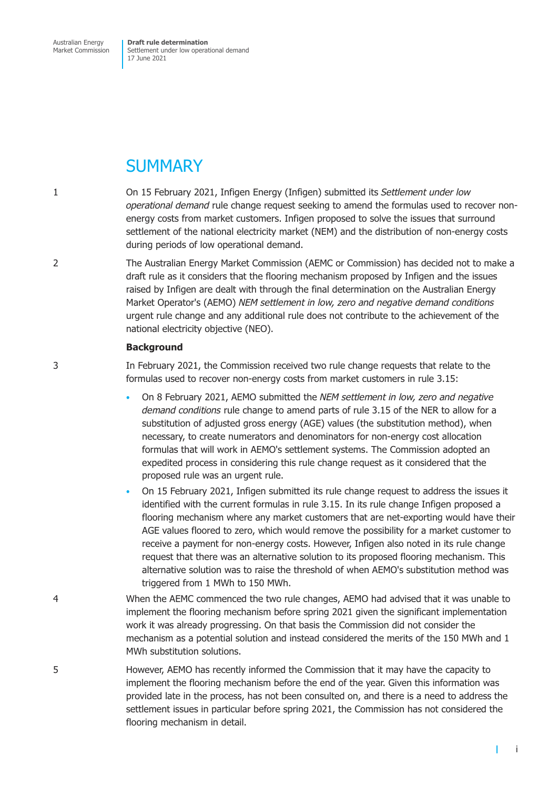Australian Energy Market Commission **Draft rule determination** Settlement under low operational demand 17 June 2021

## **SUMMARY**

- 1 On 15 February 2021, Infigen Energy (Infigen) submitted its *Settlement under low operational demand* rule change request seeking to amend the formulas used to recover nonenergy costs from market customers. Infigen proposed to solve the issues that surround settlement of the national electricity market (NEM) and the distribution of non-energy costs during periods of low operational demand.
- 2 The Australian Energy Market Commission (AEMC or Commission) has decided not to make a draft rule as it considers that the flooring mechanism proposed by Infigen and the issues raised by Infigen are dealt with through the final determination on the Australian Energy Market Operator's (AEMO) *NEM settlement in low, zero and negative demand conditions* urgent rule change and any additional rule does not contribute to the achievement of the national electricity objective (NEO).

#### **Background**

3 In February 2021, the Commission received two rule change requests that relate to the formulas used to recover non-energy costs from market customers in rule 3.15:

- On 8 February 2021, AEMO submitted the *NEM settlement in low, zero and negative demand conditions* rule change to amend parts of rule 3.15 of the NER to allow for a substitution of adjusted gross energy (AGE) values (the substitution method), when necessary, to create numerators and denominators for non-energy cost allocation formulas that will work in AEMO's settlement systems. The Commission adopted an expedited process in considering this rule change request as it considered that the proposed rule was an urgent rule.
- On 15 February 2021, Infigen submitted its rule change request to address the issues it identified with the current formulas in rule 3.15. In its rule change Infigen proposed a flooring mechanism where any market customers that are net-exporting would have their AGE values floored to zero, which would remove the possibility for a market customer to receive a payment for non-energy costs. However, Infigen also noted in its rule change request that there was an alternative solution to its proposed flooring mechanism. This alternative solution was to raise the threshold of when AEMO's substitution method was triggered from 1 MWh to 150 MWh.
- 4 When the AEMC commenced the two rule changes, AEMO had advised that it was unable to implement the flooring mechanism before spring 2021 given the significant implementation work it was already progressing. On that basis the Commission did not consider the mechanism as a potential solution and instead considered the merits of the 150 MWh and 1 MWh substitution solutions.
- 5 However, AEMO has recently informed the Commission that it may have the capacity to implement the flooring mechanism before the end of the year. Given this information was provided late in the process, has not been consulted on, and there is a need to address the settlement issues in particular before spring 2021, the Commission has not considered the flooring mechanism in detail.

 $\mathbf{I}$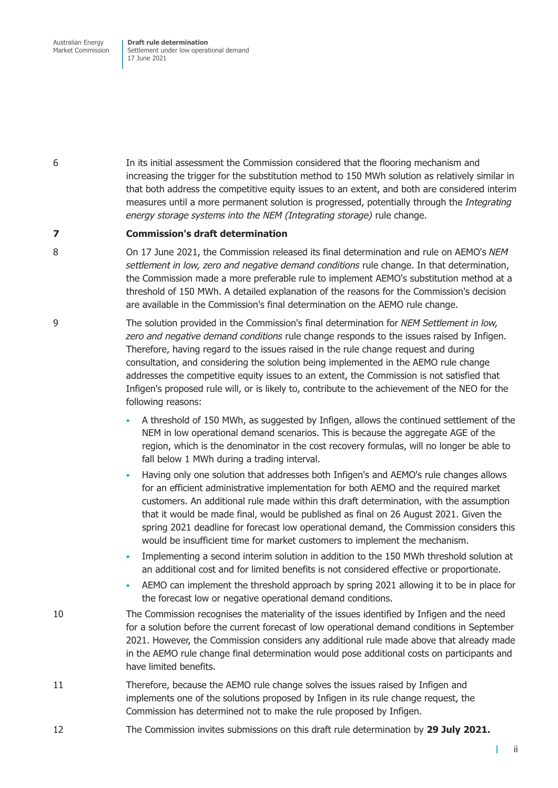Australian Energy Market Commission **Draft rule determination** Settlement under low operational demand 17 June 2021

6 In its initial assessment the Commission considered that the flooring mechanism and increasing the trigger for the substitution method to 150 MWh solution as relatively similar in that both address the competitive equity issues to an extent, and both are considered interim measures until a more permanent solution is progressed, potentially through the *Integrating energy storage systems into the NEM (Integrating storage)* rule change.

#### **7 Commission's draft determination**

- 8 On 17 June 2021, the Commission released its final determination and rule on AEMO's *NEM settlement in low, zero and negative demand conditions* rule change. In that determination, the Commission made a more preferable rule to implement AEMO's substitution method at a threshold of 150 MWh. A detailed explanation of the reasons for the Commission's decision are available in the Commission's final determination on the AEMO rule change.
- 9 The solution provided in the Commission's final determination for *NEM Settlement in low, zero and negative demand conditions* rule change responds to the issues raised by Infigen. Therefore, having regard to the issues raised in the rule change request and during consultation, and considering the solution being implemented in the AEMO rule change addresses the competitive equity issues to an extent, the Commission is not satisfied that Infigen's proposed rule will, or is likely to, contribute to the achievement of the NEO for the following reasons:
	- A threshold of 150 MWh, as suggested by Infigen, allows the continued settlement of the NEM in low operational demand scenarios. This is because the aggregate AGE of the region, which is the denominator in the cost recovery formulas, will no longer be able to fall below 1 MWh during a trading interval.
	- Having only one solution that addresses both Infigen's and AEMO's rule changes allows for an efficient administrative implementation for both AEMO and the required market customers. An additional rule made within this draft determination, with the assumption that it would be made final, would be published as final on 26 August 2021. Given the spring 2021 deadline for forecast low operational demand, the Commission considers this would be insufficient time for market customers to implement the mechanism.
	- Implementing a second interim solution in addition to the 150 MWh threshold solution at an additional cost and for limited benefits is not considered effective or proportionate.
	- AEMO can implement the threshold approach by spring 2021 allowing it to be in place for the forecast low or negative operational demand conditions.
- 10 The Commission recognises the materiality of the issues identified by Infigen and the need for a solution before the current forecast of low operational demand conditions in September 2021. However, the Commission considers any additional rule made above that already made in the AEMO rule change final determination would pose additional costs on participants and have limited benefits.
- 11 Therefore, because the AEMO rule change solves the issues raised by Infigen and implements one of the solutions proposed by Infigen in its rule change request, the Commission has determined not to make the rule proposed by Infigen.
- 12 The Commission invites submissions on this draft rule determination by **29 July 2021.**

ii

T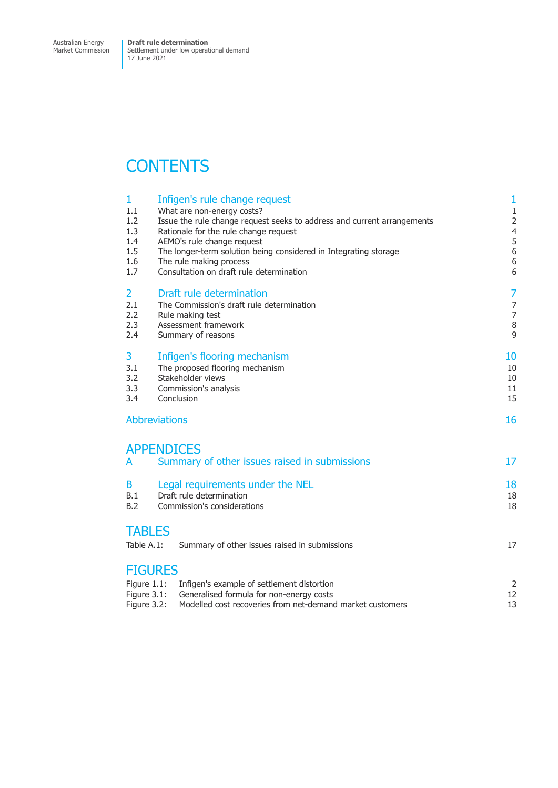Settlement under low operational demand 17 June 2021

## **CONTENTS**

| $\mathbf{1}$<br>1.1<br>1.2<br>1.3<br>1.4<br>1.5<br>1.6<br>1.7 | Infigen's rule change request<br>What are non-energy costs?<br>Issue the rule change request seeks to address and current arrangements<br>Rationale for the rule change request<br>AEMO's rule change request<br>The longer-term solution being considered in Integrating storage<br>The rule making process<br>Consultation on draft rule determination | $\mathbf{1}$<br>$\mathbf{1}$<br>$\overline{\mathbf{c}}$<br>$\frac{4}{5}$<br>6<br>6<br>6 |
|---------------------------------------------------------------|----------------------------------------------------------------------------------------------------------------------------------------------------------------------------------------------------------------------------------------------------------------------------------------------------------------------------------------------------------|-----------------------------------------------------------------------------------------|
| $\overline{2}$<br>2.1<br>2.2<br>2.3<br>2.4                    | Draft rule determination<br>The Commission's draft rule determination<br>Rule making test<br>Assessment framework<br>Summary of reasons                                                                                                                                                                                                                  | 7<br>7<br>$\overline{7}$<br>8<br>9                                                      |
| 3<br>3.1<br>3.2<br>3.3<br>3.4                                 | Infigen's flooring mechanism<br>The proposed flooring mechanism<br>Stakeholder views<br>Commission's analysis<br>Conclusion                                                                                                                                                                                                                              |                                                                                         |
| <b>Abbreviations</b>                                          |                                                                                                                                                                                                                                                                                                                                                          |                                                                                         |
| A                                                             | <b>APPENDICES</b><br>Summary of other issues raised in submissions                                                                                                                                                                                                                                                                                       | 17                                                                                      |
| B<br>B.1<br>B.2                                               | Legal requirements under the NEL<br>Draft rule determination<br>Commission's considerations                                                                                                                                                                                                                                                              | 18<br>18<br>18                                                                          |
| <b>TABLES</b><br>Table A.1:                                   | Summary of other issues raised in submissions                                                                                                                                                                                                                                                                                                            | 17                                                                                      |
| <b>FIGURES</b><br>Figure 1.1:<br>Figure 3.1:<br>Figure 3.2:   | Infigen's example of settlement distortion<br>Generalised formula for non-energy costs<br>Modelled cost recoveries from net-demand market customers                                                                                                                                                                                                      | $\overline{c}$<br>12<br>13                                                              |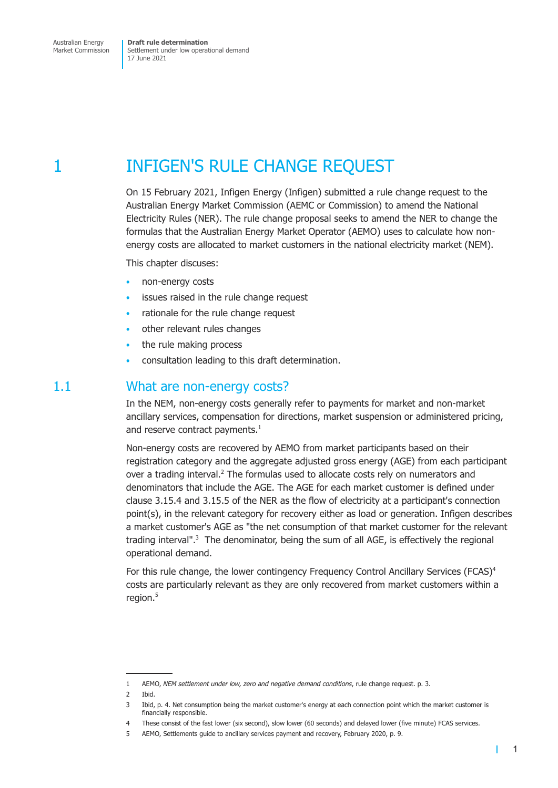<span id="page-5-0"></span>Australian Energy Market Commission

**Draft rule determination** Settlement under low operational demand 17 June 2021

1 **INFIGEN'S RULE CHANGE REQUEST** 

On 15 February 2021, Infigen Energy (Infigen) submitted a rule change request to the Australian Energy Market Commission (AEMC or Commission) to amend the National Electricity Rules (NER). The rule change proposal seeks to amend the NER to change the formulas that the Australian Energy Market Operator (AEMO) uses to calculate how nonenergy costs are allocated to market customers in the national electricity market (NEM).

This chapter discuses:

- non-energy costs
- issues raised in the rule change request
- rationale for the rule change request
- other relevant rules changes
- the rule making process
- consultation leading to this draft determination.

### 1.1 What are non-energy costs?

In the NEM, non-energy costs generally refer to payments for market and non-market ancillary services, compensation for directions, market suspension or administered pricing, and reserve contract payments. $<sup>1</sup>$ </sup>

Non-energy costs are recovered by AEMO from market participants based on their registration category and the aggregate adjusted gross energy (AGE) from each participant over a trading interval.<sup>2</sup> The formulas used to allocate costs rely on numerators and denominators that include the AGE. The AGE for each market customer is defined under clause 3.15.4 and 3.15.5 of the NER as the flow of electricity at a participant's connection point(s), in the relevant category for recovery either as load or generation. Infigen describes a market customer's AGE as "the net consumption of that market customer for the relevant trading interval".<sup>3</sup> The denominator, being the sum of all AGE, is effectively the regional operational demand.

For this rule change, the lower contingency Frequency Control Ancillary Services (FCAS)<sup>4</sup> costs are particularly relevant as they are only recovered from market customers within a region.<sup>5</sup>

 $\mathbf{I}$ 

<sup>1</sup> AEMO, *NEM settlement under low, zero and negative demand conditions*, rule change request. p. 3.

<sup>2</sup> Ibid.

<sup>3</sup> Ibid, p. 4. Net consumption being the market customer's energy at each connection point which the market customer is financially responsible.

<sup>4</sup> These consist of the fast lower (six second), slow lower (60 seconds) and delayed lower (five minute) FCAS services.

<sup>5</sup> AEMO, Settlements guide to ancillary services payment and recovery, February 2020, p. 9.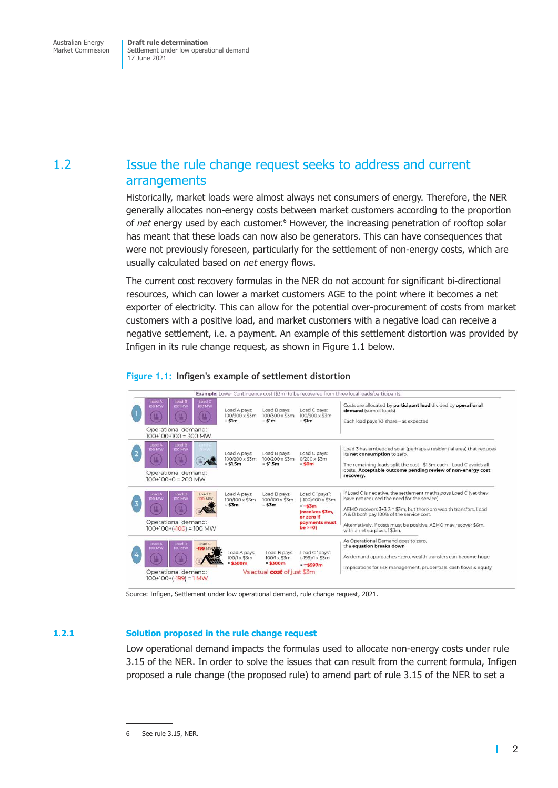<span id="page-6-0"></span>Settlement under low operational demand 17 June 2021

### 1.2 Issue the rule change request seeks to address and current arrangements

Historically, market loads were almost always net consumers of energy. Therefore, the NER generally allocates non-energy costs between market customers according to the proportion of net energy used by each customer.<sup>6</sup> However, the increasing penetration of rooftop solar has meant that these loads can now also be generators. This can have consequences that were not previously foreseen, particularly for the settlement of non-energy costs, which are usually calculated based on *net* energy flows.

The current cost recovery formulas in the NER do not account for significant bi-directional resources, which can lower a market customers AGE to the point where it becomes a net exporter of electricity. This can allow for the potential over-procurement of costs from market customers with a positive load, and market customers with a negative load can receive a negative settlement, i.e. a payment. An example of this settlement distortion was provided by Infigen in its rule change request, as shown in Figure 1.1 below.

#### Example: Lower Contingency cost (\$3m) to be recovered from three local loads/participants: Costs are allocated by participant load divided by operational ad A pays oad B pays ad C pay demand (sum of loads  $100/300 \times $3m$  $100/300 \times $3m$ 100/300 x \$3m  $=$  \$1m  $=$  \$1m  $=$  \$1m Each load pays 1/3 share - as expected Operational demand:  $100+100+100=300$  MW Load 3 has embedded solar (perhaps a residential area) that reduces Load A pays:<br>100/200 x \$3m<br>= **\$1.5m** Load C pays:<br>0/200 x \$3m<br>= **\$0m** Load B pays: its net consumption to zero  $100/200 \times $3m$ <br>= \$1.5m (1 (#)  $\mathbb{R}$ The remaining loads split the cost - \$1.5m each - Load C avoids all costs. Acceptable outcome pending review of non-energy cost Operational demand: recovery.  $100+100+0=200$  MW If Load C is negative, the settlement maths pays Load C (yet they<br>have not reduced the need for the service) Load C "pays":<br>(-100)/100 x \$3m Load B pays: Load A pays: 100/100 x \$3m 100/100 x \$3m  $$3m$  $=$  \$3 $m$  $-$ \$3m AEMO recovers 3+3-3 = \$3m, but there are wealth transfers. Load A & B both pay 100% of the service cost. (receives \$3m, or zero if payments must<br>be >=0) Operational demand: Alternatively, if costs must be positive, AEMO may recover \$6m,<br>with a net surplus of \$3m.  $100+100+(-100) = 100$  MW As Operational Demand goes to zero, the equation breaks down Load B pays:<br>100/1 x \$3m<br>= **\$300m** Load A pays<br>100/1 x \$3m Load C "pays":<br>(-199)/1 x \$3m As demand approaches ~zero, wealth transfers can become huge 偑 0<sub>m</sub>  $= -5597m$ Implications for risk management, prudentials, cash flows & equity Operational demand: Vs actual cost of just \$3m  $100+100+(-199) = 1$  MW

#### **Figure 1.1: Infigen's example of settlement distortion**

Source: Infigen, Settlement under low operational demand, rule change request, 2021.

#### **1.2.1 Solution proposed in the rule change request**

Low operational demand impacts the formulas used to allocate non-energy costs under rule 3.15 of the NER. In order to solve the issues that can result from the current formula, Infigen proposed a rule change (the proposed rule) to amend part of rule 3.15 of the NER to set a

<span id="page-6-1"></span>2

1

<sup>6</sup> See rule 3.15, NER.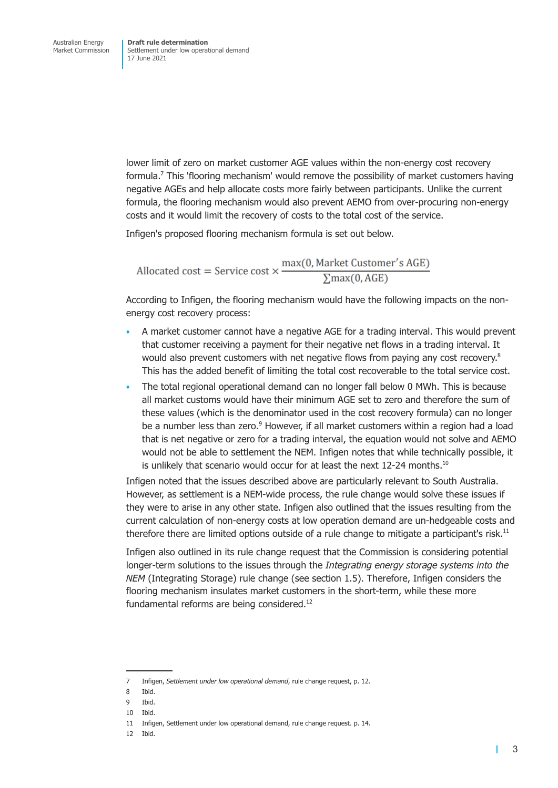lower limit of zero on market customer AGE values within the non-energy cost recovery formula.<sup>7</sup> This 'flooring mechanism' would remove the possibility of market customers having negative AGEs and help allocate costs more fairly between participants. Unlike the current formula, the flooring mechanism would also prevent AEMO from over-procuring non-energy costs and it would limit the recovery of costs to the total cost of the service.

Infigen's proposed flooring mechanism formula is set out below.

Allocated cost = Service cost  $\times \frac{\max(0, \text{Market Customer's AGE})}{\sum \max(0, \text{AGE})}$ 

According to Infigen, the flooring mechanism would have the following impacts on the nonenergy cost recovery process:

- A market customer cannot have a negative AGE for a trading interval. This would prevent that customer receiving a payment for their negative net flows in a trading interval. It would also prevent customers with net negative flows from paying any cost recovery.<sup>8</sup> This has the added benefit of limiting the total cost recoverable to the total service cost.
- The total regional operational demand can no longer fall below 0 MWh. This is because all market customs would have their minimum AGE set to zero and therefore the sum of these values (which is the denominator used in the cost recovery formula) can no longer be a number less than zero.<sup>9</sup> However, if all market customers within a region had a load that is net negative or zero for a trading interval, the equation would not solve and AEMO would not be able to settlement the NEM. Infigen notes that while technically possible, it is unlikely that scenario would occur for at least the next 12-24 months.<sup>10</sup>

Infigen noted that the issues described above are particularly relevant to South Australia. However, as settlement is a NEM-wide process, the rule change would solve these issues if they were to arise in any other state. Infigen also outlined that the issues resulting from the current calculation of non-energy costs at low operation demand are un-hedgeable costs and therefore there are limited options outside of a rule change to mitigate a participant's risk.<sup>11</sup>

Infigen also outlined in its rule change request that the Commission is considering potential longer-term solutions to the issues through the *Integrating energy storage systems into the NEM* (Integrating Storage) rule change (see section 1.5). Therefore, Infigen considers the flooring mechanism insulates market customers in the short-term, while these more fundamental reforms are being considered.<sup>12</sup>

<sup>7</sup> Infigen, *Settlement under low operational demand*, rule change request, p. 12.

<sup>8</sup> Ibid.

<sup>9</sup> Ibid.

<sup>10</sup> Ibid.

<sup>11</sup> Infigen, Settlement under low operational demand, rule change request. p. 14.

<sup>12</sup> Ibid.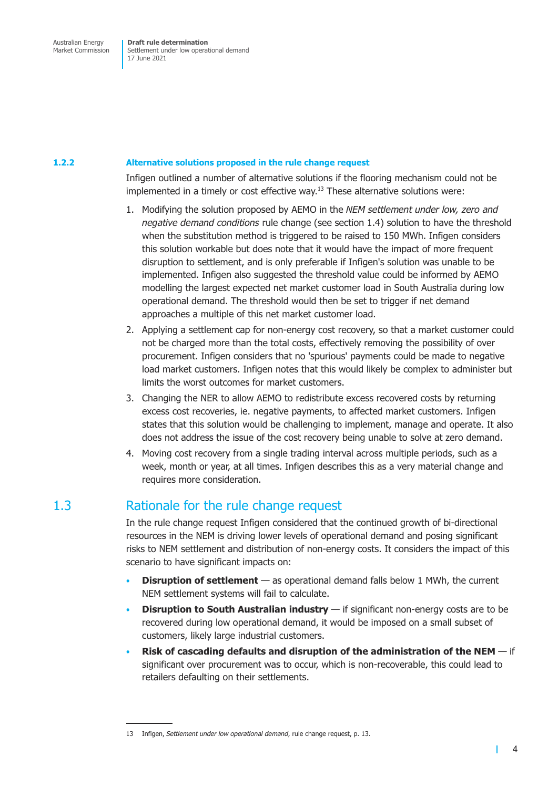<span id="page-8-0"></span>Settlement under low operational demand 17 June 2021

#### **1.2.2 Alternative solutions proposed in the rule change request**

Infigen outlined a number of alternative solutions if the flooring mechanism could not be implemented in a timely or cost effective way.<sup>13</sup> These alternative solutions were:

- 1. Modifying the solution proposed by AEMO in the *NEM settlement under low, zero and negative demand conditions* rule change (see section 1.4) solution to have the threshold when the substitution method is triggered to be raised to 150 MWh. Infigen considers this solution workable but does note that it would have the impact of more frequent disruption to settlement, and is only preferable if Infigen's solution was unable to be implemented. Infigen also suggested the thre[shold value](#page-9-1) could be informed by AEMO modelling the largest expected net market customer load in South Australia during low operational demand. The threshold would then be set to trigger if net demand approaches a multiple of this net market customer load.
- 2. Applying a settlement cap for non-energy cost recovery, so that a market customer could not be charged more than the total costs, effectively removing the possibility of over procurement. Infigen considers that no 'spurious' payments could be made to negative load market customers. Infigen notes that this would likely be complex to administer but limits the worst outcomes for market customers.
- 3. Changing the NER to allow AEMO to redistribute excess recovered costs by returning excess cost recoveries, ie. negative payments, to affected market customers. Infigen states that this solution would be challenging to implement, manage and operate. It also does not address the issue of the cost recovery being unable to solve at zero demand.
- 4. Moving cost recovery from a single trading interval across multiple periods, such as a week, month or year, at all times. Infigen describes this as a very material change and requires more consideration.

### 1.3 Rationale for the rule change request

In the rule change request Infigen considered that the continued growth of bi-directional resources in the NEM is driving lower levels of operational demand and posing significant risks to NEM settlement and distribution of non-energy costs. It considers the impact of this scenario to have significant impacts on:

- **Disruption of settlement** as operational demand falls below 1 MWh, the current NEM settlement systems will fail to calculate.
- **Disruption to South Australian industry** if significant non-energy costs are to be recovered during low operational demand, it would be imposed on a small subset of customers, likely large industrial customers.
- **Risk of cascading defaults and disruption of the administration of the NEM**  if significant over procurement was to occur, which is non-recoverable, this could lead to retailers defaulting on their settlements.

<sup>13</sup> Infigen, *Settlement under low operational demand*, rule change request, p. 13.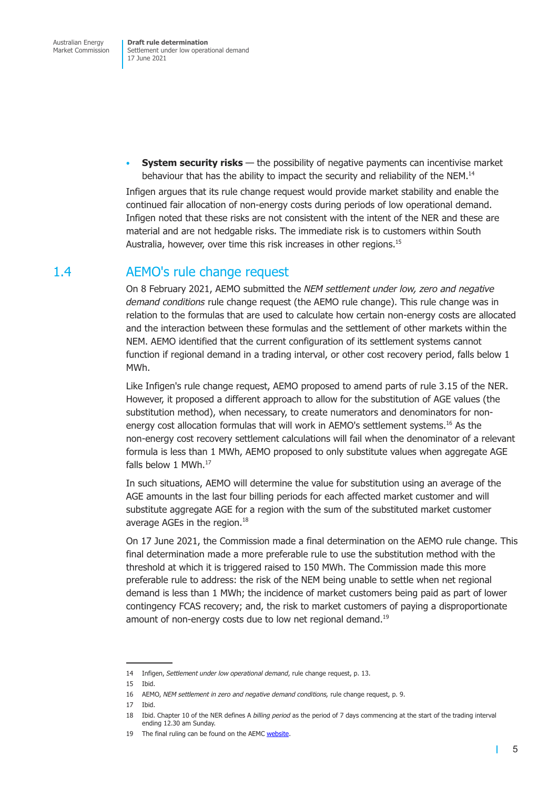<span id="page-9-0"></span>Settlement under low operational demand 17 June 2021

• **System security risks** — the possibility of negative payments can incentivise market behaviour that has the ability to impact the security and reliability of the NEM.<sup>14</sup>

Infigen argues that its rule change request would provide market stability and enable the continued fair allocation of non-energy costs during periods of low operational demand. Infigen noted that these risks are not consistent with the intent of the NER and these are material and are not hedgable risks. The immediate risk is to customers within South Australia, however, over time this risk increases in other regions.<sup>15</sup>

### 1.4 AEMO's rule change request

<span id="page-9-1"></span>On 8 February 2021, AEMO submitted the *NEM settlement under low, zero and negative demand conditions* rule change request (the AEMO rule change). This rule change was in relation to the formulas that are used to calculate how certain non-energy costs are allocated and the interaction between these formulas and the settlement of other markets within the NEM. AEMO identified that the current configuration of its settlement systems cannot function if regional demand in a trading interval, or other cost recovery period, falls below 1 MWh.

Like Infigen's rule change request, AEMO proposed to amend parts of rule 3.15 of the NER. However, it proposed a different approach to allow for the substitution of AGE values (the substitution method), when necessary, to create numerators and denominators for nonenergy cost allocation formulas that will work in AEMO's settlement systems.<sup>16</sup> As the non-energy cost recovery settlement calculations will fail when the denominator of a relevant formula is less than 1 MWh, AEMO proposed to only substitute values when aggregate AGE falls below 1 MWh.<sup>17</sup>

In such situations, AEMO will determine the value for substitution using an average of the AGE amounts in the last four billing periods for each affected market customer and will substitute aggregate AGE for a region with the sum of the substituted market customer average AGEs in the region.<sup>18</sup>

On 17 June 2021, the Commission made a final determination on the AEMO rule change. This final determination made a more preferable rule to use the substitution method with the threshold at which it is triggered raised to 150 MWh. The Commission made this more preferable rule to address: the risk of the NEM being unable to settle when net regional demand is less than 1 MWh; the incidence of market customers being paid as part of lower contingency FCAS recovery; and, the risk to market customers of paying a disproportionate amount of non-energy costs due to low net regional demand.<sup>19</sup>

<sup>14</sup> Infigen, *Settlement under low operational demand*, rule change request, p. 13.

<sup>15</sup> Ibid.

<sup>16</sup> AEMO, *NEM settlement in zero and negative demand conditions,* rule change request, p. 9.

<sup>17</sup> Ibid.

<sup>18</sup> Ibid. Chapter 10 of the NER defines A *billing period* as the period of 7 days commencing at the start of the trading interval ending 12.30 am Sunday.

<sup>19</sup> The final ruling can be found on the AEMC website.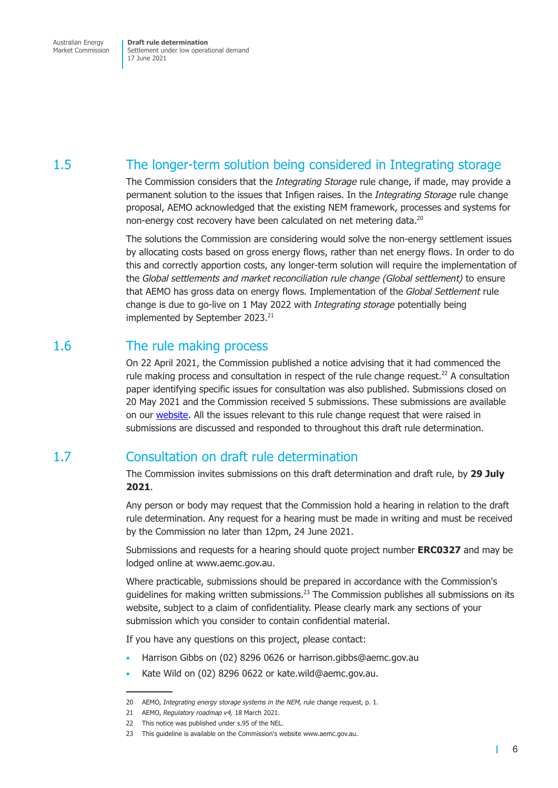<span id="page-10-0"></span>Settlement under low operational demand 17 June 2021

### 1.5 The longer-term solution being considered in Integrating storage

The Commission considers that the *Integrating Storage* rule change, if made, may provide a permanent solution to the issues that Infigen raises. In the *Integrating Storage* rule change proposal, AEMO acknowledged that the existing NEM framework, processes and systems for non-energy cost recovery have been calculated on net metering data.<sup>20</sup>

The solutions the Commission are considering would solve the non-energy settlement issues by allocating costs based on gross energy flows, rather than net energy flows. In order to do this and correctly apportion costs, any longer-term solution will require the implementation of the *Global settlements and market reconciliation rule change (Global settlement)* to ensure that AEMO has gross data on energy flows. Implementation of the *Global Settlement* rule change is due to go-live on 1 May 2022 with *Integrating storage* potentially being implemented by September 2023.<sup>21</sup>

### 1.6 The rule making process

On 22 April 2021, the Commission published a notice advising that it had commenced the rule making process and consultation in respect of the rule change request.<sup>22</sup> A consultation paper identifying specific issues for consultation was also published. Submissions closed on 20 May 2021 and the Commission received 5 submissions. These submissions are available on our website. All the issues relevant to this rule change request that were raised in submissions are discussed and responded to throughout this draft rule determination.

### 1.7 Cons[ultatio](https://www.aemc.gov.au/rule-changes/settlement-under-low-operational-demand)n on draft rule determination

The Commission invites submissions on this draft determination and draft rule, by **29 July 2021**.

Any person or body may request that the Commission hold a hearing in relation to the draft rule determination. Any request for a hearing must be made in writing and must be received by the Commission no later than 12pm, 24 June 2021.

Submissions and requests for a hearing should quote project number **ERC0327** and may be lodged online at www.aemc.gov.au.

Where practicable, submissions should be prepared in accordance with the Commission's guidelines for making written submissions.<sup>23</sup> The Commission publishes all submissions on its website, subject to a claim of confidentiality. Please clearly mark any sections of your submission which you consider to contain confidential material.

If you have any questions on this project, please contact:

- Harrison Gibbs on (02) 8296 0626 or harrison.gibbs@aemc.gov.au
- Kate Wild on (02) 8296 0622 or kate.wild@aemc.gov.au.

<sup>20</sup> AEMO, *Integrating energy storage systems in the NEM, r*ule change request, p. 1.

<sup>21</sup> AEMO, *Regulatory roadmap v4,* 18 March 2021.

<sup>22</sup> This notice was published under s.95 of the NEL.

<sup>23</sup> This guideline is available on the Commission's website www.aemc.gov.au.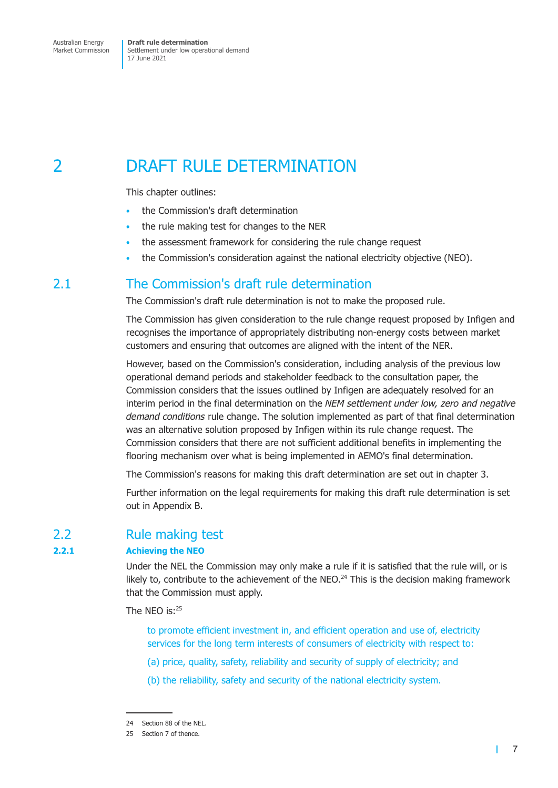<span id="page-11-0"></span>Settlement under low operational demand 17 June 2021

## 2 DRAFT RULE DETERMINATION

This chapter outlines:

- the Commission's draft determination
- the rule making test for changes to the NER
- the assessment framework for considering the rule change request
- the Commission's consideration against the national electricity objective (NEO).

### 2.1 The Commission's draft rule determination

The Commission's draft rule determination is not to make the proposed rule.

The Commission has given consideration to the rule change request proposed by Infigen and recognises the importance of appropriately distributing non-energy costs between market customers and ensuring that outcomes are aligned with the intent of the NER.

However, based on the Commission's consideration, including analysis of the previous low operational demand periods and stakeholder feedback to the consultation paper, the Commission considers that the issues outlined by Infigen are adequately resolved for an interim period in the final determination on the *NEM settlement under low, zero and negative demand conditions* rule change. The solution implemented as part of that final determination was an alternative solution proposed by Infigen within its rule change request. The Commission considers that there are not sufficient additional benefits in implementing the flooring mechanism over what is being implemented in AEMO's final determination.

The Commission's reasons for making this draft determination are set out in chapter 3.

Further information on the legal requirements for making this draft rule determination is set out in Appendix B.

### 2.2 Rule making test

#### **2.2.1 Achieving the NEO**

Under the NEL the Commission may only make a rule if it is satisfied that the rule will, or is likely to, contribute to the achievement of the NEO. $^{24}$  This is the decision making framework that the Commission must apply.

The NEO is:<sup>25</sup>

to promote efficient investment in, and efficient operation and use of, electricity services for the long term interests of consumers of electricity with respect to:

- (a) price, quality, safety, reliability and security of supply of electricity; and
- (b) the reliability, safety and security of the national electricity system.

т

<sup>24</sup> Section 88 of the NEL.

<sup>25</sup> Section 7 of thence.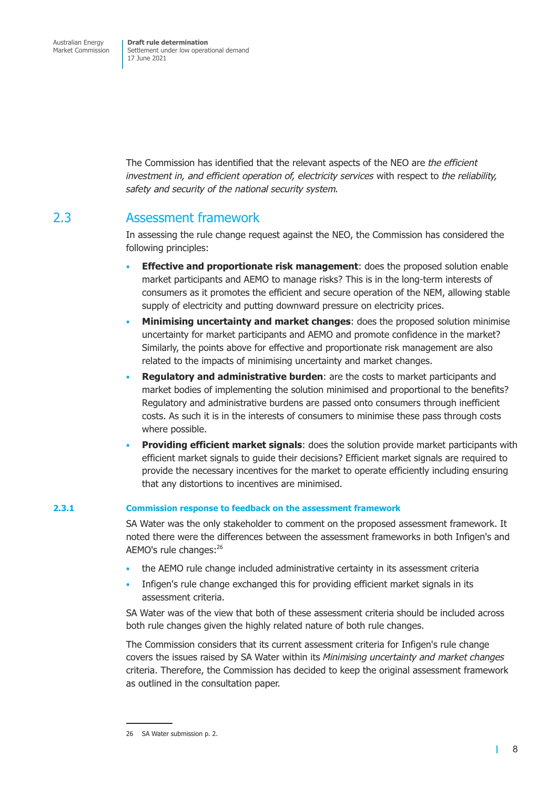<span id="page-12-0"></span>The Commission has identified that the relevant aspects of the NEO are *the efficient investment in, and efficient operation of, electricity services* with respect to *the reliability, safety and security of the national security system.*

### 2.3 Assessment framework

In assessing the rule change request against the NEO, the Commission has considered the following principles:

- **Effective and proportionate risk management**: does the proposed solution enable market participants and AEMO to manage risks? This is in the long-term interests of consumers as it promotes the efficient and secure operation of the NEM, allowing stable supply of electricity and putting downward pressure on electricity prices.
- **Minimising uncertainty and market changes**: does the proposed solution minimise uncertainty for market participants and AEMO and promote confidence in the market? Similarly, the points above for effective and proportionate risk management are also related to the impacts of minimising uncertainty and market changes.
- **Regulatory and administrative burden**: are the costs to market participants and market bodies of implementing the solution minimised and proportional to the benefits? Regulatory and administrative burdens are passed onto consumers through inefficient costs. As such it is in the interests of consumers to minimise these pass through costs where possible.
- **Providing efficient market signals**: does the solution provide market participants with efficient market signals to guide their decisions? Efficient market signals are required to provide the necessary incentives for the market to operate efficiently including ensuring that any distortions to incentives are minimised.

#### **2.3.1 Commission response to feedback on the assessment framework**

SA Water was the only stakeholder to comment on the proposed assessment framework. It noted there were the differences between the assessment frameworks in both Infigen's and AEMO's rule changes:<sup>26</sup>

- the AEMO rule change included administrative certainty in its assessment criteria
- Infigen's rule change exchanged this for providing efficient market signals in its assessment criteria.

SA Water was of the view that both of these assessment criteria should be included across both rule changes given the highly related nature of both rule changes.

The Commission considers that its current assessment criteria for Infigen's rule change covers the issues raised by SA Water within its *Minimising uncertainty and market changes* criteria. Therefore, the Commission has decided to keep the original assessment framework as outlined in the consultation paper.

 $\blacksquare$ 

<sup>26</sup> SA Water submission p. 2.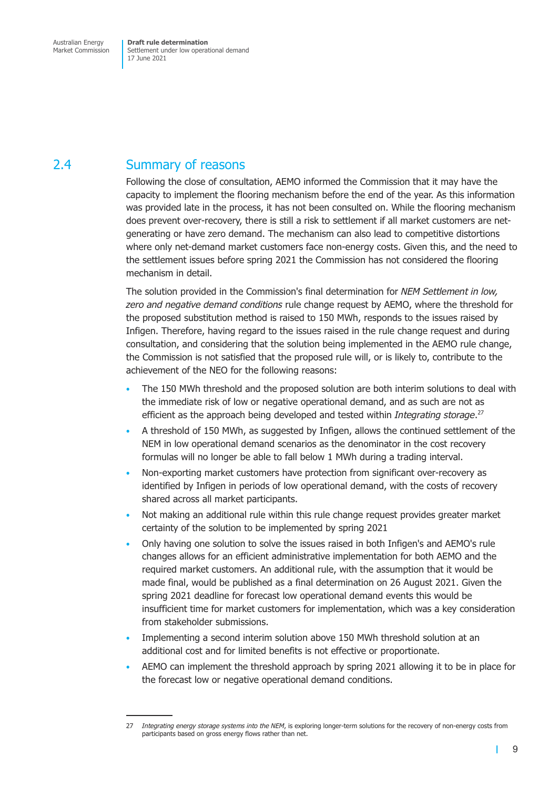## <span id="page-13-0"></span>2.4 Summary of reasons

Following the close of consultation, AEMO informed the Commission that it may have the capacity to implement the flooring mechanism before the end of the year. As this information was provided late in the process, it has not been consulted on. While the flooring mechanism does prevent over-recovery, there is still a risk to settlement if all market customers are netgenerating or have zero demand. The mechanism can also lead to competitive distortions where only net-demand market customers face non-energy costs. Given this, and the need to the settlement issues before spring 2021 the Commission has not considered the flooring mechanism in detail.

The solution provided in the Commission's final determination for *NEM Settlement in low, zero and negative demand conditions* rule change request by AEMO, where the threshold for the proposed substitution method is raised to 150 MWh, responds to the issues raised by Infigen. Therefore, having regard to the issues raised in the rule change request and during consultation, and considering that the solution being implemented in the AEMO rule change, the Commission is not satisfied that the proposed rule will, or is likely to, contribute to the achievement of the NEO for the following reasons:

- The 150 MWh threshold and the proposed solution are both interim solutions to deal with the immediate risk of low or negative operational demand, and as such are not as efficient as the approach being developed and tested within *Integrating storage*. 27
- A threshold of 150 MWh, as suggested by Infigen, allows the continued settlement of the NEM in low operational demand scenarios as the denominator in the cost recovery formulas will no longer be able to fall below 1 MWh during a trading interval.
- Non-exporting market customers have protection from significant over-recovery as identified by Infigen in periods of low operational demand, with the costs of recovery shared across all market participants.
- Not making an additional rule within this rule change request provides greater market certainty of the solution to be implemented by spring 2021
- Only having one solution to solve the issues raised in both Infigen's and AEMO's rule changes allows for an efficient administrative implementation for both AEMO and the required market customers. An additional rule, with the assumption that it would be made final, would be published as a final determination on 26 August 2021. Given the spring 2021 deadline for forecast low operational demand events this would be insufficient time for market customers for implementation, which was a key consideration from stakeholder submissions.
- Implementing a second interim solution above 150 MWh threshold solution at an additional cost and for limited benefits is not effective or proportionate.
- AEMO can implement the threshold approach by spring 2021 allowing it to be in place for the forecast low or negative operational demand conditions.

<span id="page-13-1"></span>т

<sup>27</sup> *Integrating energy storage systems into the NEM*, is exploring longer-term solutions for the recovery of non-energy costs from participants based on gross energy flows rather than net.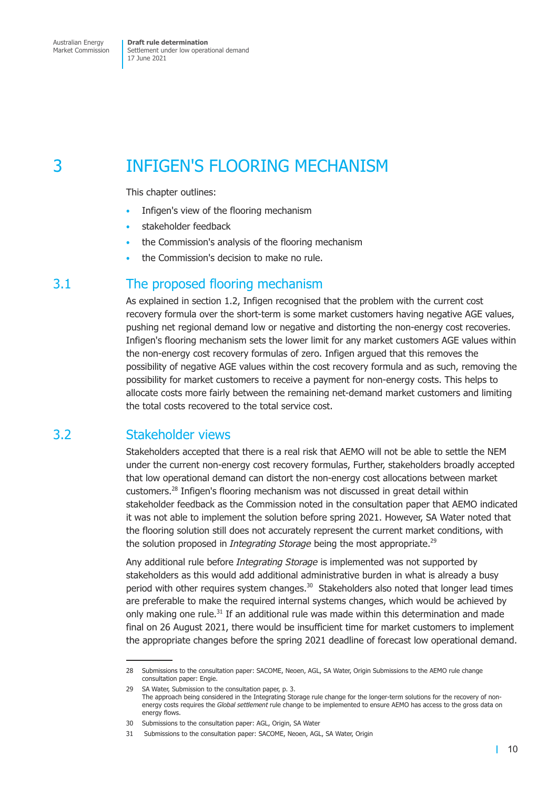<span id="page-14-0"></span>Settlement under low operational demand 17 June 2021

## 3 INFIGEN'S FLOORING MECHANISM

This chapter outlines:

- Infigen's view of the flooring mechanism
- stakeholder feedback
- the Commission's analysis of the flooring mechanism
- the Commission's decision to make no rule.

### 3.1 The proposed flooring mechanism

As explained in section 1.2, Infigen recognised that the problem with the current cost recovery formula over the short-term is some market customers having negative AGE values, pushing net regional demand low or negative and distorting the non-energy cost recoveries. Infigen's flooring mechanism sets the lower limit for any market customers AGE values within the non-energy [cost recove](#page-6-1)ry formulas of zero. Infigen argued that this removes the possibility of negative AGE values within the cost recovery formula and as such, removing the possibility for market customers to receive a payment for non-energy costs. This helps to allocate costs more fairly between the remaining net-demand market customers and limiting the total costs recovered to the total service cost.

### 3.2 Stakeholder views

Stakeholders accepted that there is a real risk that AEMO will not be able to settle the NEM under the current non-energy cost recovery formulas, Further, stakeholders broadly accepted that low operational demand can distort the non-energy cost allocations between market customers.28 Infigen's flooring mechanism was not discussed in great detail within stakeholder feedback as the Commission noted in the consultation paper that AEMO indicated it was not able to implement the solution before spring 2021. However, SA Water noted that the flooring solution still does not accurately represent the current market conditions, with the solution proposed in *Integrating Storage* being the most appropriate.<sup>29</sup>

Any additional rule before *Integrating Storage* is implemented was not supported by stakeholders as this would add additional administrative burden in what is already a busy period with other requires system changes.<sup>30</sup> Stakeholders also noted that longer lead times are preferable to make the required internal systems changes, which would be achieved by only making one rule. $31$  If an additional rule was made within this determination and made final on 26 August 2021, there would be insufficient time for market customers to implement the appropriate changes before the spring 2021 deadline of forecast low operational demand.

T.

<sup>28</sup> Submissions to the consultation paper: SACOME, Neoen, AGL, SA Water, Origin Submissions to the AEMO rule change consultation paper: Engie.

<sup>29</sup> SA Water, Submission to the consultation paper, p. 3. The approach being considered in the Integrating Storage rule change for the longer-term solutions for the recovery of nonenergy costs requires the *Global settlement* rule change to be implemented to ensure AEMO has access to the gross data on energy flows.

<sup>30</sup> Submissions to the consultation paper: AGL, Origin, SA Water

<sup>31</sup> Submissions to the consultation paper: SACOME, Neoen, AGL, SA Water, Origin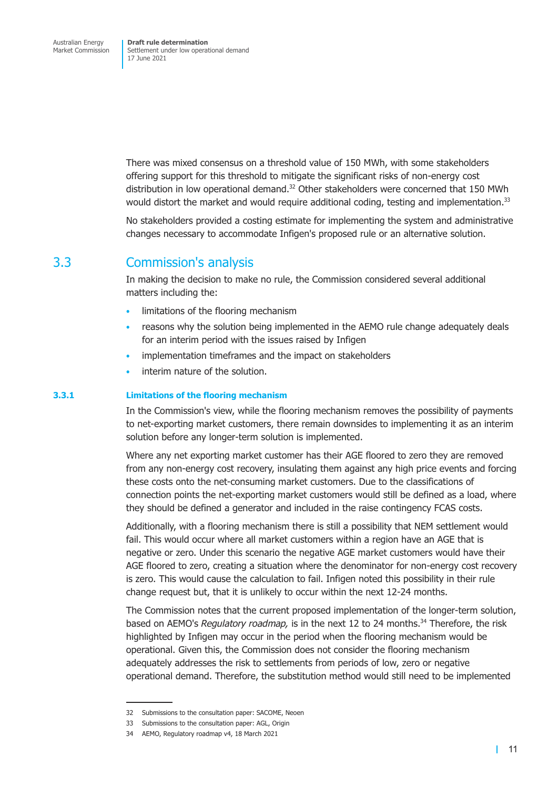There was mixed consensus on a threshold value of 150 MWh, with some stakeholders offering support for this threshold to mitigate the significant risks of non-energy cost distribution in low operational demand. $32$  Other stakeholders were concerned that 150 MWh would distort the market and would require additional coding, testing and implementation.<sup>33</sup>

No stakeholders provided a costing estimate for implementing the system and administrative changes necessary to accommodate Infigen's proposed rule or an alternative solution.

### 3.3 Commission's analysis

In making the decision to make no rule, the Commission considered several additional matters including the:

- limitations of the flooring mechanism
- reasons why the solution being implemented in the AEMO rule change adequately deals for an interim period with the issues raised by Infigen
- implementation timeframes and the impact on stakeholders
- interim nature of the solution.

#### **3.3.1 Limitations of the flooring mechanism**

In the Commission's view, while the flooring mechanism removes the possibility of payments to net-exporting market customers, there remain downsides to implementing it as an interim solution before any longer-term solution is implemented.

Where any net exporting market customer has their AGE floored to zero they are removed from any non-energy cost recovery, insulating them against any high price events and forcing these costs onto the net-consuming market customers. Due to the classifications of connection points the net-exporting market customers would still be defined as a load, where they should be defined a generator and included in the raise contingency FCAS costs.

Additionally, with a flooring mechanism there is still a possibility that NEM settlement would fail. This would occur where all market customers within a region have an AGE that is negative or zero. Under this scenario the negative AGE market customers would have their AGE floored to zero, creating a situation where the denominator for non-energy cost recovery is zero. This would cause the calculation to fail. Infigen noted this possibility in their rule change request but, that it is unlikely to occur within the next 12-24 months.

The Commission notes that the current proposed implementation of the longer-term solution, based on AEMO's *Regulatory roadmap*, is in the next 12 to 24 months.<sup>34</sup> Therefore, the risk highlighted by Infigen may occur in the period when the flooring mechanism would be operational. Given this, the Commission does not consider the flooring mechanism adequately addresses the risk to settlements from periods of low, zero or negative operational demand. Therefore, the substitution method would still need to be implemented

<sup>32</sup> Submissions to the consultation paper: SACOME, Neoen

<sup>33</sup> Submissions to the consultation paper: AGL, Origin

<sup>34</sup> AEMO, Regulatory roadmap v4, 18 March 2021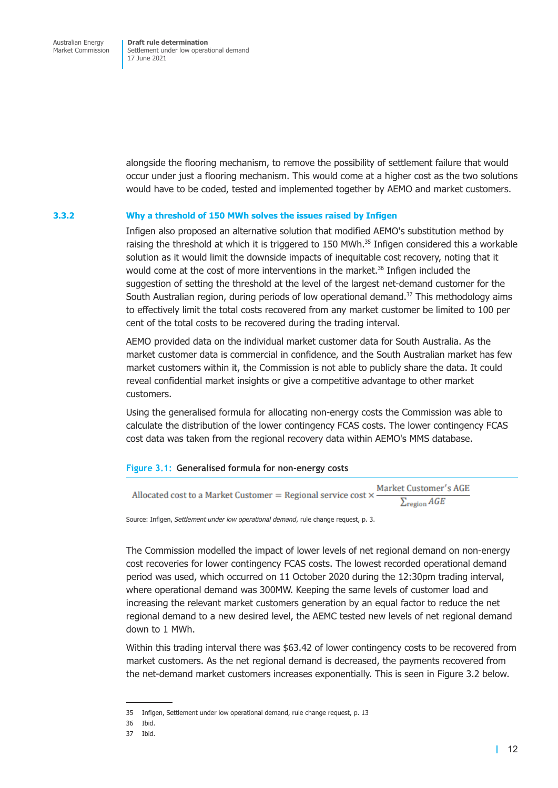alongside the flooring mechanism, to remove the possibility of settlement failure that would occur under just a flooring mechanism. This would come at a higher cost as the two solutions would have to be coded, tested and implemented together by AEMO and market customers.

#### **3.3.2 Why a threshold of 150 MWh solves the issues raised by Infigen**

Infigen also proposed an alternative solution that modified AEMO's substitution method by raising the threshold at which it is triggered to 150 MWh.<sup>35</sup> Infigen considered this a workable solution as it would limit the downside impacts of inequitable cost recovery, noting that it would come at the cost of more interventions in the market.<sup>36</sup> Infigen included the suggestion of setting the threshold at the level of the largest net-demand customer for the South Australian region, during periods of low operational demand. $37$  This methodology aims to effectively limit the total costs recovered from any market customer be limited to 100 per cent of the total costs to be recovered during the trading interval.

AEMO provided data on the individual market customer data for South Australia. As the market customer data is commercial in confidence, and the South Australian market has few market customers within it, the Commission is not able to publicly share the data. It could reveal confidential market insights or give a competitive advantage to other market customers.

Using the generalised formula for allocating non-energy costs the Commission was able to calculate the distribution of the lower contingency FCAS costs. The lower contingency FCAS cost data was taken from the regional recovery data within AEMO's MMS database.

#### **Figure 3.1: Generalised formula for non-energy costs**

| Allocated cost to a Market Customer = Regional service cost $\times$ - | Market Customer's AGE      |
|------------------------------------------------------------------------|----------------------------|
|                                                                        | $\sum_{\text{region}} AGE$ |

Source: Infigen, *Settlement under low operational demand*, rule change request, p. 3.

The Commission modelled the impact of lower levels of net regional demand on non-energy cost recoveries for lower contingency FCAS costs. The lowest recorded operational demand period was used, which occurred on 11 October 2020 during the 12:30pm trading interval, where operational demand was 300MW. Keeping the same levels of customer load and increasing the relevant market customers generation by an equal factor to reduce the net regional demand to a new desired level, the AEMC tested new levels of net regional demand down to 1 MWh.

Within this trading interval there was \$63.42 of lower contingency costs to be recovered from market customers. As the net regional demand is decreased, the payments recovered from the net-demand market customers increases exponentially. This is seen in Figure 3.2 below.

<sup>35</sup> Infigen, Settlement under low operational demand, rule change request, p. 13

<sup>36</sup> Ibid.

<sup>37</sup> Ibid.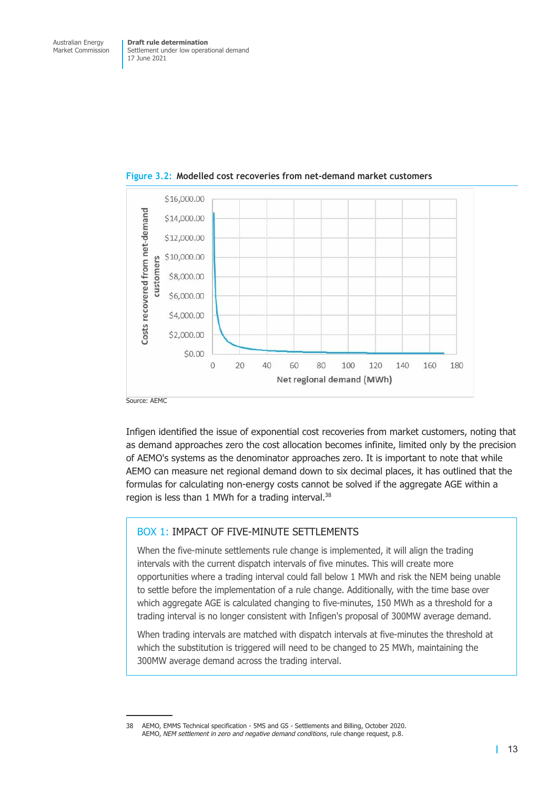

**Figure 3.2: Modelled cost recoveries from net-demand market customers**

Source: AEMC

Infigen identified the issue of exponential cost recoveries from market customers, noting that as demand approaches zero the cost allocation becomes infinite, limited only by the precision of AEMO's systems as the denominator approaches zero. It is important to note that while AEMO can measure net regional demand down to six decimal places, it has outlined that the formulas for calculating non-energy costs cannot be solved if the aggregate AGE within a region is less than 1 MWh for a trading interval.<sup>38</sup>

#### BOX 1: IMPACT OF FIVE-MINUTE SETTLEMENTS

When the five-minute settlements rule change is implemented, it will align the trading intervals with the current dispatch intervals of five minutes. This will create more opportunities where a trading interval could fall below 1 MWh and risk the NEM being unable to settle before the implementation of a rule change. Additionally, with the time base over which aggregate AGE is calculated changing to five-minutes, 150 MWh as a threshold for a trading interval is no longer consistent with Infigen's proposal of 300MW average demand.

When trading intervals are matched with dispatch intervals at five-minutes the threshold at which the substitution is triggered will need to be changed to 25 MWh, maintaining the 300MW average demand across the trading interval.

<sup>38</sup> AEMO, EMMS Technical specification - 5MS and GS - Settlements and Billing, October 2020. AEMO, *NEM settlement in zero and negative demand conditions*, rule change request, p.8.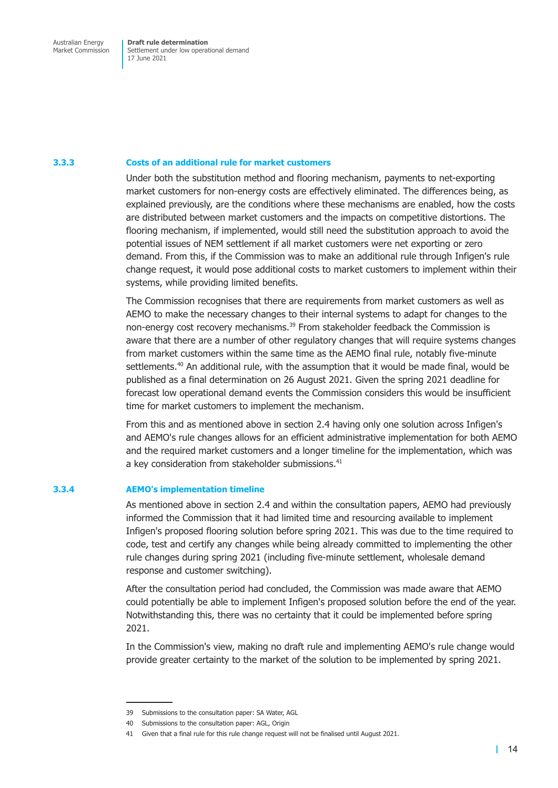Settlement under low operational demand 17 June 2021

#### **3.3.3 Costs of an additional rule for market customers**

Under both the substitution method and flooring mechanism, payments to net-exporting market customers for non-energy costs are effectively eliminated. The differences being, as explained previously, are the conditions where these mechanisms are enabled, how the costs are distributed between market customers and the impacts on competitive distortions. The flooring mechanism, if implemented, would still need the substitution approach to avoid the potential issues of NEM settlement if all market customers were net exporting or zero demand. From this, if the Commission was to make an additional rule through Infigen's rule change request, it would pose additional costs to market customers to implement within their systems, while providing limited benefits.

The Commission recognises that there are requirements from market customers as well as AEMO to make the necessary changes to their internal systems to adapt for changes to the non-energy cost recovery mechanisms.<sup>39</sup> From stakeholder feedback the Commission is aware that there are a number of other regulatory changes that will require systems changes from market customers within the same time as the AEMO final rule, notably five-minute settlements.<sup>40</sup> An additional rule, with the assumption that it would be made final, would be published as a final determination on 26 August 2021. Given the spring 2021 deadline for forecast low operational demand events the Commission considers this would be insufficient time for market customers to implement the mechanism.

From this and as mentioned above in section 2.4 having only one solution across Infigen's and AEMO's rule changes allows for an efficient administrative implementation for both AEMO and the required market customers and a longer timeline for the implementation, which was a key consideration from stakeholder [submissions](#page-13-1).<sup>41</sup>

#### **3.3.4 AEMO's implementation timeline**

As mentioned above in section 2.4 and within the consultation papers, AEMO had previously informed the Commission that it had limited time and resourcing available to implement Infigen's proposed flooring solution before spring 2021. This was due to the time required to code, test and certify a[ny changes](#page-13-1) while being already committed to implementing the other rule changes during spring 2021 (including five-minute settlement, wholesale demand response and customer switching).

After the consultation period had concluded, the Commission was made aware that AEMO could potentially be able to implement Infigen's proposed solution before the end of the year. Notwithstanding this, there was no certainty that it could be implemented before spring 2021.

In the Commission's view, making no draft rule and implementing AEMO's rule change would provide greater certainty to the market of the solution to be implemented by spring 2021.

<sup>39</sup> Submissions to the consultation paper: SA Water, AGL

<sup>40</sup> Submissions to the consultation paper: AGL, Origin

<sup>41</sup> Given that a final rule for this rule change request will not be finalised until August 2021.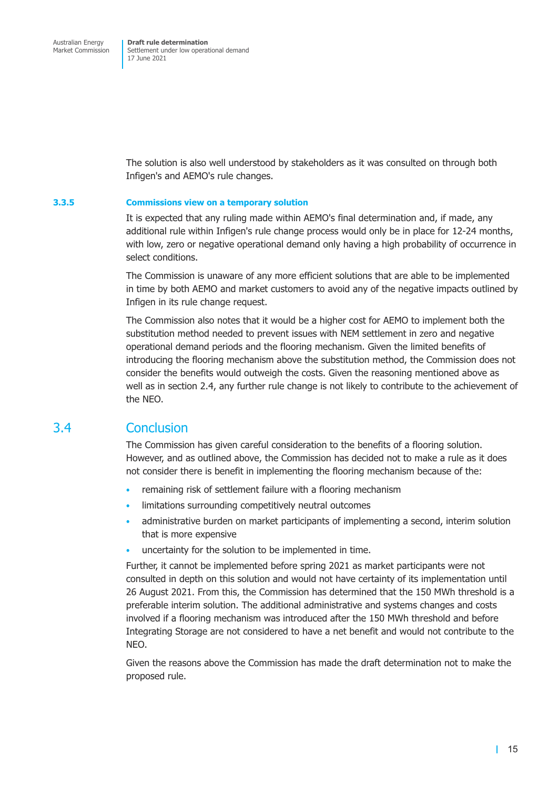<span id="page-19-0"></span>The solution is also well understood by stakeholders as it was consulted on through both Infigen's and AEMO's rule changes.

#### **3.3.5 Commissions view on a temporary solution**

It is expected that any ruling made within AEMO's final determination and, if made, any additional rule within Infigen's rule change process would only be in place for 12-24 months, with low, zero or negative operational demand only having a high probability of occurrence in select conditions.

The Commission is unaware of any more efficient solutions that are able to be implemented in time by both AEMO and market customers to avoid any of the negative impacts outlined by Infigen in its rule change request.

The Commission also notes that it would be a higher cost for AEMO to implement both the substitution method needed to prevent issues with NEM settlement in zero and negative operational demand periods and the flooring mechanism. Given the limited benefits of introducing the flooring mechanism above the substitution method, the Commission does not consider the benefits would outweigh the costs. Given the reasoning mentioned above as well as in section 2.4, any further rule change is not likely to contribute to the achievement of the NEO.

#### 3.4 Conclu[sion](#page-13-1)

The Commission has given careful consideration to the benefits of a flooring solution. However, and as outlined above, the Commission has decided not to make a rule as it does not consider there is benefit in implementing the flooring mechanism because of the:

- remaining risk of settlement failure with a flooring mechanism
- limitations surrounding competitively neutral outcomes
- administrative burden on market participants of implementing a second, interim solution that is more expensive
- uncertainty for the solution to be implemented in time.

Further, it cannot be implemented before spring 2021 as market participants were not consulted in depth on this solution and would not have certainty of its implementation until 26 August 2021. From this, the Commission has determined that the 150 MWh threshold is a preferable interim solution. The additional administrative and systems changes and costs involved if a flooring mechanism was introduced after the 150 MWh threshold and before Integrating Storage are not considered to have a net benefit and would not contribute to the NEO.

Given the reasons above the Commission has made the draft determination not to make the proposed rule.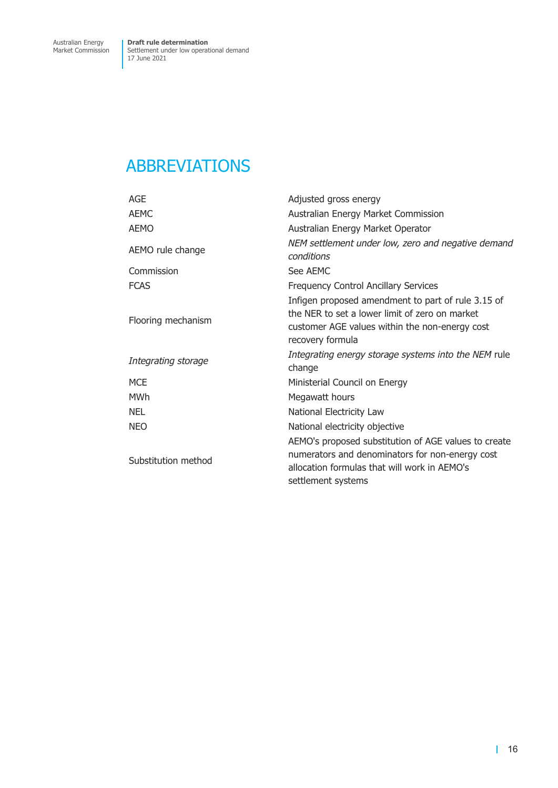## <span id="page-20-0"></span>ABBREVIATIONS

| AGE                 | Adjusted gross energy                                                                                                                                                         |
|---------------------|-------------------------------------------------------------------------------------------------------------------------------------------------------------------------------|
| <b>AEMC</b>         | Australian Energy Market Commission                                                                                                                                           |
| <b>AEMO</b>         | Australian Energy Market Operator                                                                                                                                             |
| AEMO rule change    | NEM settlement under low, zero and negative demand<br>conditions                                                                                                              |
| Commission          | See AEMC                                                                                                                                                                      |
| <b>FCAS</b>         | <b>Frequency Control Ancillary Services</b>                                                                                                                                   |
| Flooring mechanism  | Infigen proposed amendment to part of rule 3.15 of<br>the NER to set a lower limit of zero on market<br>customer AGE values within the non-energy cost<br>recovery formula    |
| Integrating storage | Integrating energy storage systems into the NEM rule<br>change                                                                                                                |
| <b>MCE</b>          | Ministerial Council on Energy                                                                                                                                                 |
| MWh                 | Megawatt hours                                                                                                                                                                |
| <b>NEL</b>          | National Electricity Law                                                                                                                                                      |
| <b>NEO</b>          | National electricity objective                                                                                                                                                |
| Substitution method | AEMO's proposed substitution of AGE values to create<br>numerators and denominators for non-energy cost<br>allocation formulas that will work in AEMO's<br>settlement systems |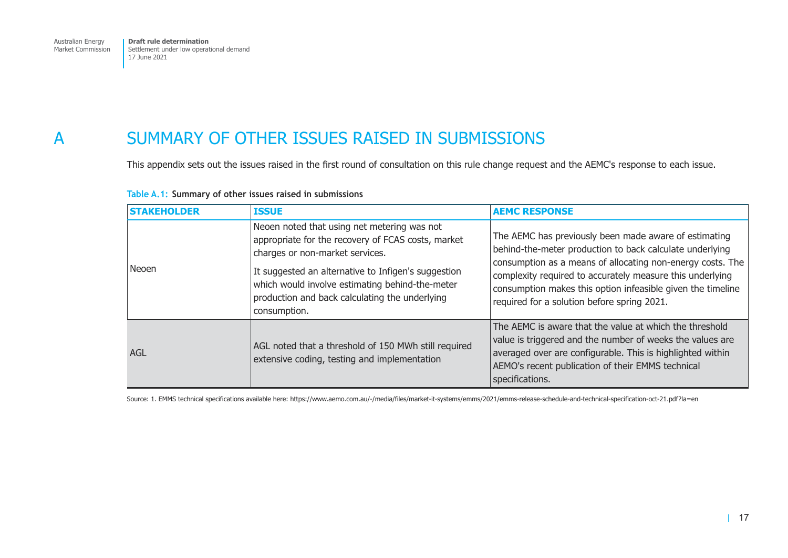<span id="page-21-0"></span>Australian Energy Market Commission

**Draft rule determination**  Settlement under low operational demand 17 June 2021

## A SUMMARY OF OTHER ISSUES RAISED IN SUBMISSIONS

This appendix sets out the issues raised in the first round of consultation on this rule change request and the AEMC's response to each issue.

| <b>STAKEHOLDER</b> | <b>ISSUE</b>                                                                                                                                                                                                                                                                                                     | <b>AEMC RESPONSE</b>                                                                                                                                                                                                                                                                                                                                       |
|--------------------|------------------------------------------------------------------------------------------------------------------------------------------------------------------------------------------------------------------------------------------------------------------------------------------------------------------|------------------------------------------------------------------------------------------------------------------------------------------------------------------------------------------------------------------------------------------------------------------------------------------------------------------------------------------------------------|
| Neoen              | Neoen noted that using net metering was not<br>appropriate for the recovery of FCAS costs, market<br>charges or non-market services.<br>It suggested an alternative to Infigen's suggestion<br>which would involve estimating behind-the-meter<br>production and back calculating the underlying<br>consumption. | The AEMC has previously been made aware of estimating<br>behind-the-meter production to back calculate underlying<br>consumption as a means of allocating non-energy costs. The<br>complexity required to accurately measure this underlying<br>consumption makes this option infeasible given the timeline<br>required for a solution before spring 2021. |
| AGL                | AGL noted that a threshold of 150 MWh still required<br>extensive coding, testing and implementation                                                                                                                                                                                                             | The AEMC is aware that the value at which the threshold<br>value is triggered and the number of weeks the values are<br>averaged over are configurable. This is highlighted within<br>AEMO's recent publication of their EMMS technical<br>specifications.                                                                                                 |

#### **Table A.1: Summary of other issues raised in submissions**

Source: 1. EMMS technical specifications available here: https://www.aemo.com.au/-/media/files/market-it-systems/emms/2021/emms-release-schedule-and-technical-specification-oct-21.pdf?la=en